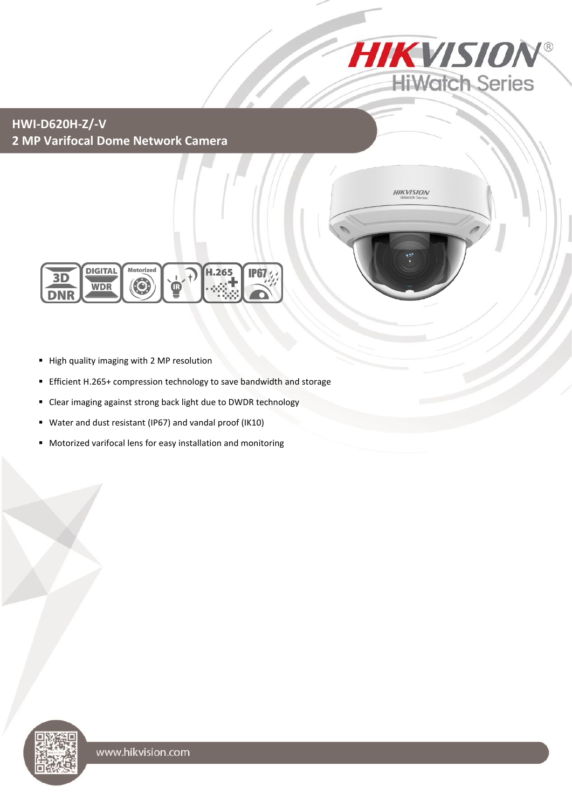

## **HWI-D620H-Z/-V 2 MP Varifocal Dome Network Camera**





- High quality imaging with 2 MP resolution
- Efficient H.265+ compression technology to save bandwidth and storage
- Clear imaging against strong back light due to DWDR technology
- Water and dust resistant (IP67) and vandal proof (IK10)
- Motorized varifocal lens for easy installation and monitoring

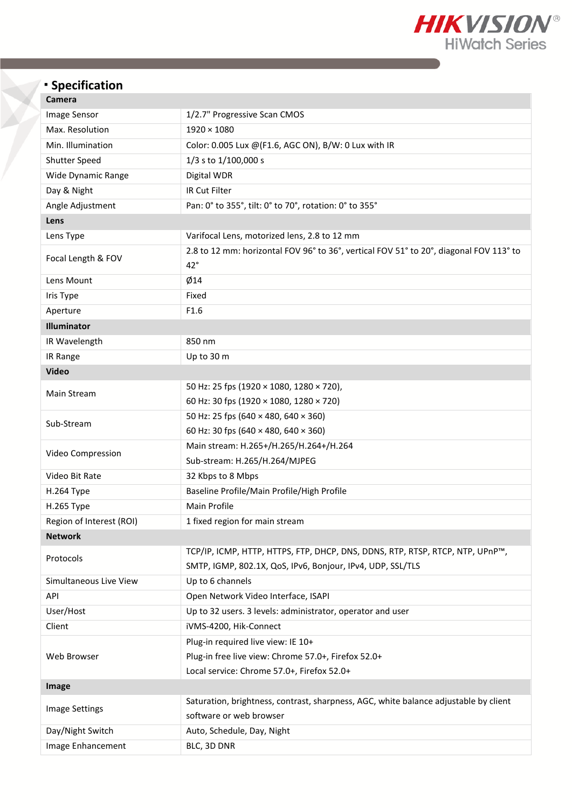

# **Specification**

| Camera |
|--------|
|--------|

| cannera                  |                                                                                                        |  |  |  |  |  |  |
|--------------------------|--------------------------------------------------------------------------------------------------------|--|--|--|--|--|--|
| Image Sensor             | 1/2.7" Progressive Scan CMOS                                                                           |  |  |  |  |  |  |
| Max. Resolution          | $1920 \times 1080$                                                                                     |  |  |  |  |  |  |
| Min. Illumination        | Color: 0.005 Lux @(F1.6, AGC ON), B/W: 0 Lux with IR                                                   |  |  |  |  |  |  |
| Shutter Speed            | 1/3 s to 1/100,000 s                                                                                   |  |  |  |  |  |  |
| Wide Dynamic Range       | Digital WDR                                                                                            |  |  |  |  |  |  |
| Day & Night              | IR Cut Filter                                                                                          |  |  |  |  |  |  |
| Angle Adjustment         | Pan: 0° to 355°, tilt: 0° to 70°, rotation: 0° to 355°                                                 |  |  |  |  |  |  |
| Lens                     |                                                                                                        |  |  |  |  |  |  |
| Lens Type                | Varifocal Lens, motorized lens, 2.8 to 12 mm                                                           |  |  |  |  |  |  |
| Focal Length & FOV       | 2.8 to 12 mm: horizontal FOV 96° to 36°, vertical FOV 51° to 20°, diagonal FOV 113° to<br>$42^{\circ}$ |  |  |  |  |  |  |
| Lens Mount               | Ø14                                                                                                    |  |  |  |  |  |  |
| Iris Type                | Fixed                                                                                                  |  |  |  |  |  |  |
| Aperture                 | F1.6                                                                                                   |  |  |  |  |  |  |
| Illuminator              |                                                                                                        |  |  |  |  |  |  |
| IR Wavelength            | 850 nm                                                                                                 |  |  |  |  |  |  |
| IR Range                 | Up to 30 m                                                                                             |  |  |  |  |  |  |
| <b>Video</b>             |                                                                                                        |  |  |  |  |  |  |
|                          | 50 Hz: 25 fps (1920 × 1080, 1280 × 720),                                                               |  |  |  |  |  |  |
| Main Stream              | 60 Hz: 30 fps (1920 × 1080, 1280 × 720)                                                                |  |  |  |  |  |  |
|                          | 50 Hz: 25 fps (640 × 480, 640 × 360)                                                                   |  |  |  |  |  |  |
| Sub-Stream               | 60 Hz: 30 fps (640 × 480, 640 × 360)                                                                   |  |  |  |  |  |  |
|                          | Main stream: H.265+/H.265/H.264+/H.264                                                                 |  |  |  |  |  |  |
| Video Compression        | Sub-stream: H.265/H.264/MJPEG                                                                          |  |  |  |  |  |  |
| Video Bit Rate           | 32 Kbps to 8 Mbps                                                                                      |  |  |  |  |  |  |
| H.264 Type               | Baseline Profile/Main Profile/High Profile                                                             |  |  |  |  |  |  |
| H.265 Type               | <b>Main Profile</b>                                                                                    |  |  |  |  |  |  |
| Region of Interest (ROI) | 1 fixed region for main stream                                                                         |  |  |  |  |  |  |
| <b>Network</b>           |                                                                                                        |  |  |  |  |  |  |
| Protocols                | TCP/IP, ICMP, HTTP, HTTPS, FTP, DHCP, DNS, DDNS, RTP, RTSP, RTCP, NTP, UPnP™,                          |  |  |  |  |  |  |
|                          | SMTP, IGMP, 802.1X, QoS, IPv6, Bonjour, IPv4, UDP, SSL/TLS                                             |  |  |  |  |  |  |
| Simultaneous Live View   | Up to 6 channels                                                                                       |  |  |  |  |  |  |
| API                      | Open Network Video Interface, ISAPI                                                                    |  |  |  |  |  |  |
| User/Host                | Up to 32 users. 3 levels: administrator, operator and user                                             |  |  |  |  |  |  |
| Client                   | iVMS-4200, Hik-Connect                                                                                 |  |  |  |  |  |  |
|                          | Plug-in required live view: IE 10+                                                                     |  |  |  |  |  |  |
| Web Browser              | Plug-in free live view: Chrome 57.0+, Firefox 52.0+                                                    |  |  |  |  |  |  |
|                          | Local service: Chrome 57.0+, Firefox 52.0+                                                             |  |  |  |  |  |  |
| Image                    |                                                                                                        |  |  |  |  |  |  |
| Image Settings           | Saturation, brightness, contrast, sharpness, AGC, white balance adjustable by client                   |  |  |  |  |  |  |
|                          | software or web browser                                                                                |  |  |  |  |  |  |
| Day/Night Switch         | Auto, Schedule, Day, Night                                                                             |  |  |  |  |  |  |
| Image Enhancement        | BLC, 3D DNR                                                                                            |  |  |  |  |  |  |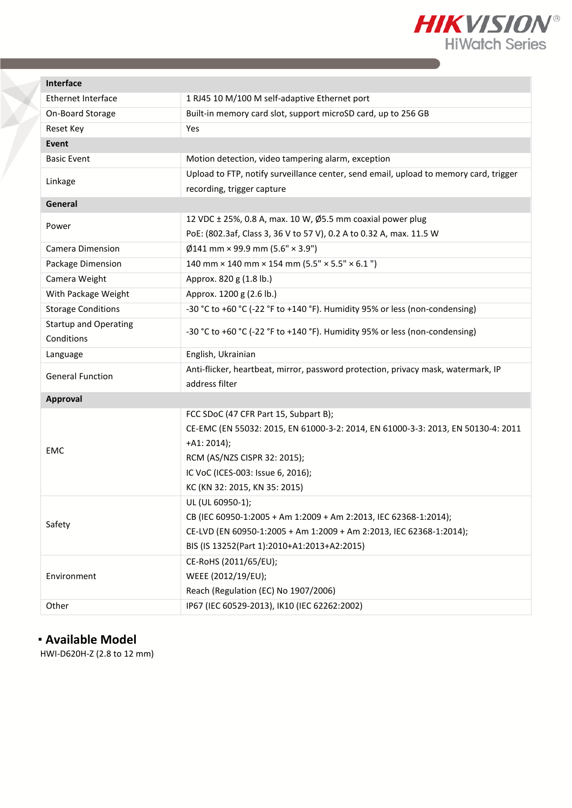

| Interface                    |                                                                                       |  |  |  |  |  |
|------------------------------|---------------------------------------------------------------------------------------|--|--|--|--|--|
| <b>Ethernet Interface</b>    | 1 RJ45 10 M/100 M self-adaptive Ethernet port                                         |  |  |  |  |  |
| On-Board Storage             | Built-in memory card slot, support microSD card, up to 256 GB                         |  |  |  |  |  |
| <b>Reset Key</b>             | Yes                                                                                   |  |  |  |  |  |
| <b>Event</b>                 |                                                                                       |  |  |  |  |  |
| <b>Basic Event</b>           | Motion detection, video tampering alarm, exception                                    |  |  |  |  |  |
|                              | Upload to FTP, notify surveillance center, send email, upload to memory card, trigger |  |  |  |  |  |
| Linkage                      | recording, trigger capture                                                            |  |  |  |  |  |
| General                      |                                                                                       |  |  |  |  |  |
| Power                        | 12 VDC ± 25%, 0.8 A, max. 10 W, Ø5.5 mm coaxial power plug                            |  |  |  |  |  |
|                              | PoE: (802.3af, Class 3, 36 V to 57 V), 0.2 A to 0.32 A, max. 11.5 W                   |  |  |  |  |  |
| Camera Dimension             | $\emptyset$ 141 mm × 99.9 mm (5.6" × 3.9")                                            |  |  |  |  |  |
| Package Dimension            | 140 mm $\times$ 140 mm $\times$ 154 mm (5.5" $\times$ 5.5" $\times$ 6.1")             |  |  |  |  |  |
| Camera Weight                | Approx. 820 g (1.8 lb.)                                                               |  |  |  |  |  |
| With Package Weight          | Approx. 1200 g (2.6 lb.)                                                              |  |  |  |  |  |
| <b>Storage Conditions</b>    | -30 °C to +60 °C (-22 °F to +140 °F). Humidity 95% or less (non-condensing)           |  |  |  |  |  |
| <b>Startup and Operating</b> |                                                                                       |  |  |  |  |  |
| Conditions                   | -30 °C to +60 °C (-22 °F to +140 °F). Humidity 95% or less (non-condensing)           |  |  |  |  |  |
| Language                     | English, Ukrainian                                                                    |  |  |  |  |  |
| <b>General Function</b>      | Anti-flicker, heartbeat, mirror, password protection, privacy mask, watermark, IP     |  |  |  |  |  |
|                              | address filter                                                                        |  |  |  |  |  |
| <b>Approval</b>              |                                                                                       |  |  |  |  |  |
|                              | FCC SDoC (47 CFR Part 15, Subpart B);                                                 |  |  |  |  |  |
|                              | CE-EMC (EN 55032: 2015, EN 61000-3-2: 2014, EN 61000-3-3: 2013, EN 50130-4: 2011      |  |  |  |  |  |
| <b>EMC</b>                   | $+A1: 2014);$                                                                         |  |  |  |  |  |
|                              | RCM (AS/NZS CISPR 32: 2015);                                                          |  |  |  |  |  |
|                              | IC VoC (ICES-003: Issue 6, 2016);                                                     |  |  |  |  |  |
|                              | KC (KN 32: 2015, KN 35: 2015)                                                         |  |  |  |  |  |
|                              | UL (UL 60950-1);                                                                      |  |  |  |  |  |
| Safety                       | CB (IEC 60950-1:2005 + Am 1:2009 + Am 2:2013, IEC 62368-1:2014);                      |  |  |  |  |  |
|                              | CE-LVD (EN 60950-1:2005 + Am 1:2009 + Am 2:2013, IEC 62368-1:2014);                   |  |  |  |  |  |
|                              | BIS (IS 13252(Part 1):2010+A1:2013+A2:2015)                                           |  |  |  |  |  |
|                              | CE-RoHS (2011/65/EU);                                                                 |  |  |  |  |  |
| Environment                  | WEEE (2012/19/EU);                                                                    |  |  |  |  |  |
|                              | Reach (Regulation (EC) No 1907/2006)                                                  |  |  |  |  |  |
| Other                        | IP67 (IEC 60529-2013), IK10 (IEC 62262:2002)                                          |  |  |  |  |  |

### **Available Model**

HWI-D620H-Z (2.8 to 12 mm)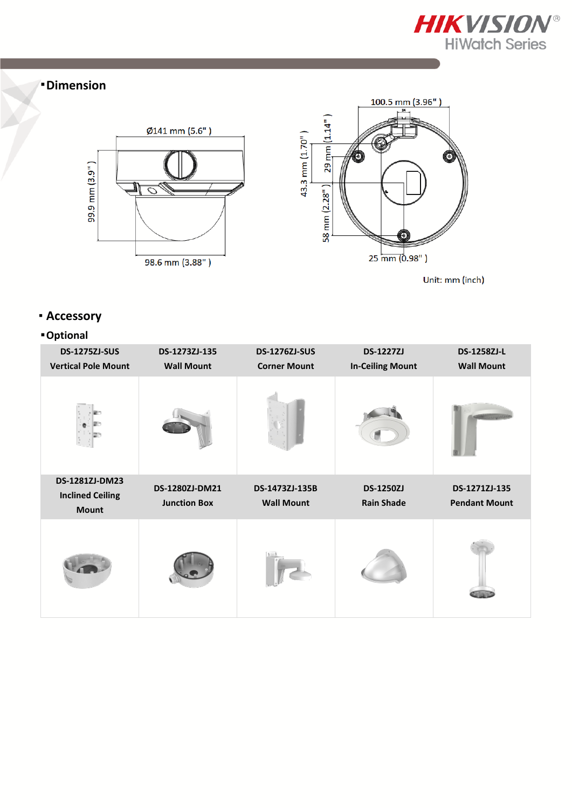

#### **Dimension**



Unit: mm (inch)

### **Accessory**

#### **Optional**

| <b>DS-1275ZJ-SUS</b>                      | DS-1273ZJ-135       | <b>DS-1276ZJ-SUS</b> | <b>DS-1227ZJ</b>        | DS-1258ZJ-L          |
|-------------------------------------------|---------------------|----------------------|-------------------------|----------------------|
| <b>Vertical Pole Mount</b>                | <b>Wall Mount</b>   | <b>Corner Mount</b>  | <b>In-Ceiling Mount</b> | <b>Wall Mount</b>    |
|                                           |                     |                      |                         |                      |
| DS-1281ZJ-DM23<br><b>Inclined Ceiling</b> | DS-1280ZJ-DM21      | DS-1473ZJ-135B       | <b>DS-1250ZJ</b>        | DS-1271ZJ-135        |
| <b>Mount</b>                              | <b>Junction Box</b> | <b>Wall Mount</b>    | <b>Rain Shade</b>       | <b>Pendant Mount</b> |
|                                           |                     |                      |                         |                      |